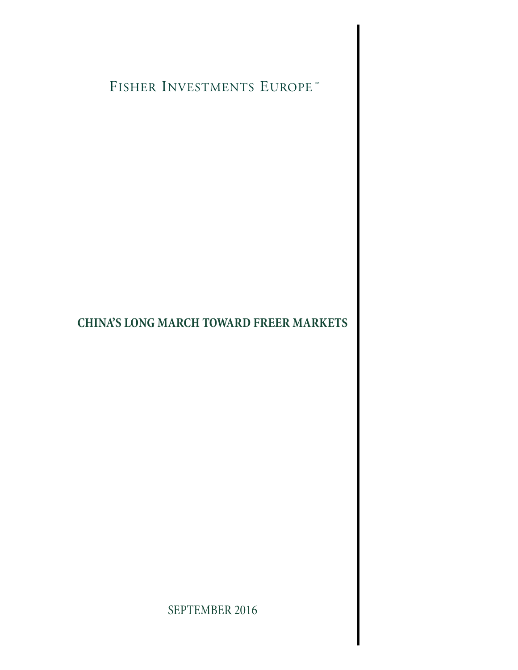FISHER INVESTMENTS EUROPE<sup>TM</sup>

## **CHINA'S LONG MARCH TOWARD FREER MARKETS**

SEPTEMBER 2016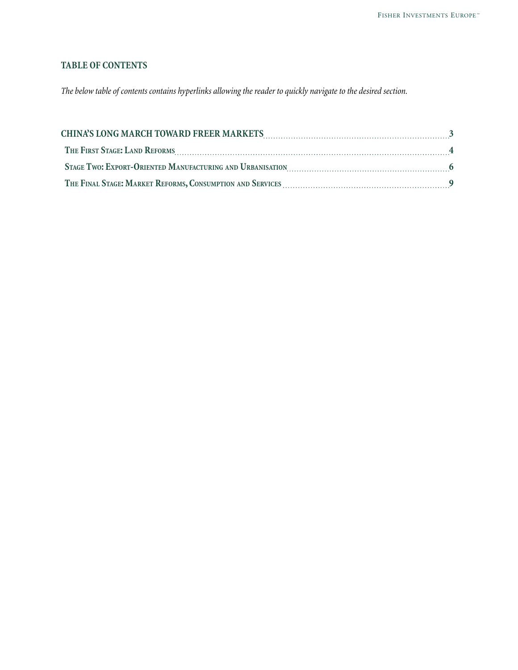## **TABLE OF CONTENTS**

*The below table of contents contains hyperlinks allowing the reader to quickly navigate to the desired section.*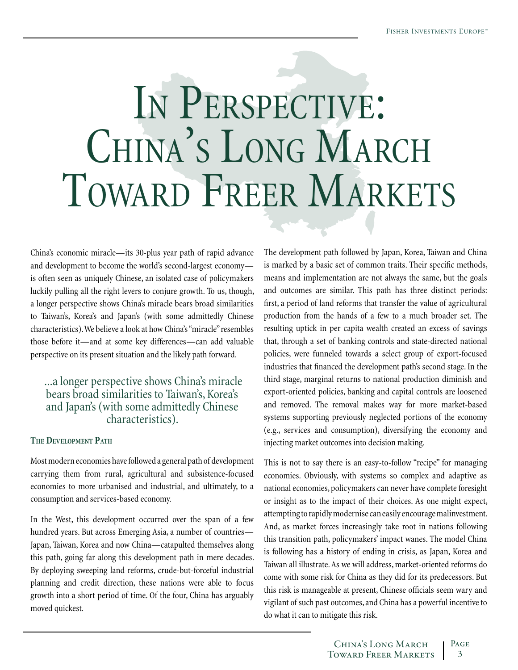# <span id="page-2-0"></span>In Perspective: CHINA'S LONG MARCH TOWARD FREER MARKETS

China's economic miracle—its 30-plus year path of rapid advance and development to become the world's second-largest economy is often seen as uniquely Chinese, an isolated case of policymakers luckily pulling all the right levers to conjure growth. To us, though, a longer perspective shows China's miracle bears broad similarities to Taiwan's, Korea's and Japan's (with some admittedly Chinese characteristics). We believe a look at how China's "miracle" resembles those before it—and at some key differences—can add valuable perspective on its present situation and the likely path forward.

## ...a longer perspective shows China's miracle bears broad similarities to Taiwan's, Korea's and Japan's (with some admittedly Chinese characteristics).

#### **The Development Path**

Most modern economies have followed a general path of development carrying them from rural, agricultural and subsistence-focused economies to more urbanised and industrial, and ultimately, to a consumption and services-based economy.

In the West, this development occurred over the span of a few hundred years. But across Emerging Asia, a number of countries— Japan, Taiwan, Korea and now China—catapulted themselves along this path, going far along this development path in mere decades. By deploying sweeping land reforms, crude-but-forceful industrial planning and credit direction, these nations were able to focus growth into a short period of time. Of the four, China has arguably moved quickest.

The development path followed by Japan, Korea, Taiwan and China is marked by a basic set of common traits. Their specific methods, means and implementation are not always the same, but the goals and outcomes are similar. This path has three distinct periods: first, a period of land reforms that transfer the value of agricultural production from the hands of a few to a much broader set. The resulting uptick in per capita wealth created an excess of savings that, through a set of banking controls and state-directed national policies, were funneled towards a select group of export-focused industries that financed the development path's second stage. In the third stage, marginal returns to national production diminish and export-oriented policies, banking and capital controls are loosened and removed. The removal makes way for more market-based systems supporting previously neglected portions of the economy (e.g., services and consumption), diversifying the economy and injecting market outcomes into decision making.

This is not to say there is an easy-to-follow "recipe" for managing economies. Obviously, with systems so complex and adaptive as national economies, policymakers can never have complete foresight or insight as to the impact of their choices. As one might expect, attempting to rapidly modernise can easily encourage malinvestment. And, as market forces increasingly take root in nations following this transition path, policymakers' impact wanes. The model China is following has a history of ending in crisis, as Japan, Korea and Taiwan all illustrate. As we will address, market-oriented reforms do come with some risk for China as they did for its predecessors. But this risk is manageable at present, Chinese officials seem wary and vigilant of such past outcomes, and China has a powerful incentive to do what it can to mitigate this risk.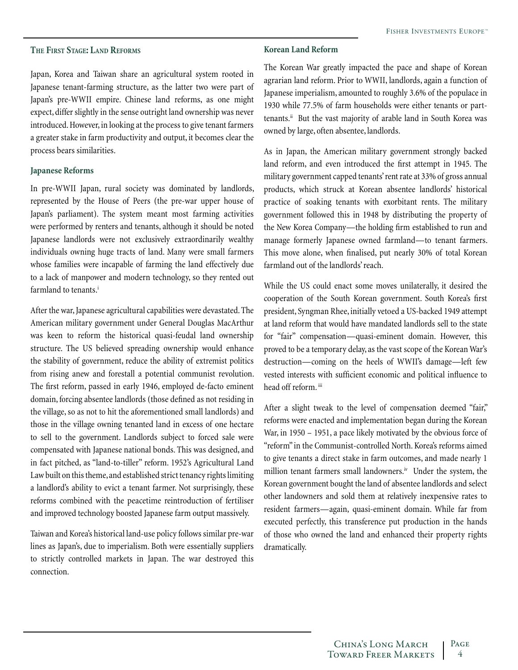#### <span id="page-3-0"></span>**The First Stage: Land Reforms**

Japan, Korea and Taiwan share an agricultural system rooted in Japanese tenant-farming structure, as the latter two were part of Japan's pre-WWII empire. Chinese land reforms, as one might expect, differ slightly in the sense outright land ownership was never introduced. However, in looking at the process to give tenant farmers a greater stake in farm productivity and output, it becomes clear the process bears similarities.

#### **Japanese Reforms**

In pre-WWII Japan, rural society was dominated by landlords, represented by the House of Peers (the pre-war upper house of Japan's parliament). The system meant most farming activities were performed by renters and tenants, although it should be noted Japanese landlords were not exclusively extraordinarily wealthy individuals owning huge tracts of land. Many were small farmers whose families were incapable of farming the land effectively due to a lack of manpower and modern technology, so they rented out farmland to tenants.<sup>i</sup>

After the war, Japanese agricultural capabilities were devastated. The American military government under General Douglas MacArthur was keen to reform the historical quasi-feudal land ownership structure. The US believed spreading ownership would enhance the stability of government, reduce the ability of extremist politics from rising anew and forestall a potential communist revolution. The first reform, passed in early 1946, employed de-facto eminent domain, forcing absentee landlords (those defined as not residing in the village, so as not to hit the aforementioned small landlords) and those in the village owning tenanted land in excess of one hectare to sell to the government. Landlords subject to forced sale were compensated with Japanese national bonds. This was designed, and in fact pitched, as "land-to-tiller" reform. 1952's Agricultural Land Law built on this theme, and established strict tenancy rights limiting a landlord's ability to evict a tenant farmer. Not surprisingly, these reforms combined with the peacetime reintroduction of fertiliser and improved technology boosted Japanese farm output massively.

Taiwan and Korea's historical land-use policy follows similar pre-war lines as Japan's, due to imperialism. Both were essentially suppliers to strictly controlled markets in Japan. The war destroyed this connection.

#### **Korean Land Reform**

The Korean War greatly impacted the pace and shape of Korean agrarian land reform. Prior to WWII, landlords, again a function of Japanese imperialism, amounted to roughly 3.6% of the populace in 1930 while 77.5% of farm households were either tenants or parttenants.<sup>ii</sup> But the vast majority of arable land in South Korea was owned by large, often absentee, landlords.

As in Japan, the American military government strongly backed land reform, and even introduced the first attempt in 1945. The military government capped tenants' rent rate at 33% of gross annual products, which struck at Korean absentee landlords' historical practice of soaking tenants with exorbitant rents. The military government followed this in 1948 by distributing the property of the New Korea Company—the holding firm established to run and manage formerly Japanese owned farmland—to tenant farmers. This move alone, when finalised, put nearly 30% of total Korean farmland out of the landlords' reach.

While the US could enact some moves unilaterally, it desired the cooperation of the South Korean government. South Korea's first president, Syngman Rhee, initially vetoed a US-backed 1949 attempt at land reform that would have mandated landlords sell to the state for "fair" compensation—quasi-eminent domain. However, this proved to be a temporary delay, as the vast scope of the Korean War's destruction—coming on the heels of WWII's damage—left few vested interests with sufficient economic and political influence to head off reform. iii

After a slight tweak to the level of compensation deemed "fair," reforms were enacted and implementation began during the Korean War, in 1950 – 1951, a pace likely motivated by the obvious force of "reform" in the Communist-controlled North. Korea's reforms aimed to give tenants a direct stake in farm outcomes, and made nearly 1 million tenant farmers small landowners.<sup>iv</sup> Under the system, the Korean government bought the land of absentee landlords and select other landowners and sold them at relatively inexpensive rates to resident farmers—again, quasi-eminent domain. While far from executed perfectly, this transference put production in the hands of those who owned the land and enhanced their property rights dramatically.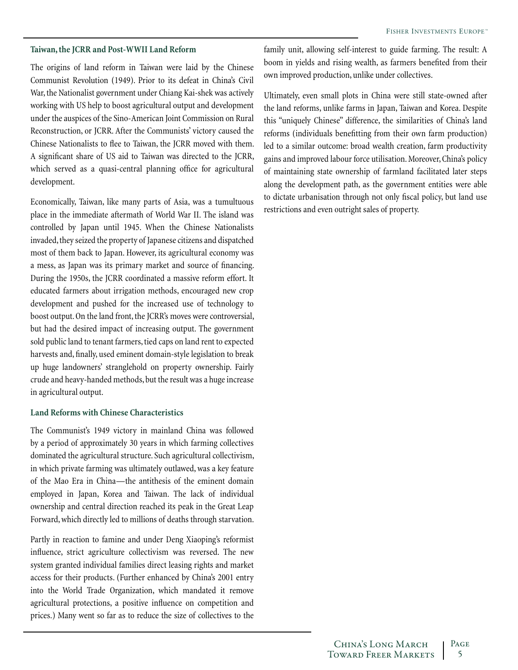#### **Taiwan, the JCRR and Post-WWII Land Reform**

The origins of land reform in Taiwan were laid by the Chinese Communist Revolution (1949). Prior to its defeat in China's Civil War, the Nationalist government under Chiang Kai-shek was actively working with US help to boost agricultural output and development under the auspices of the Sino-American Joint Commission on Rural Reconstruction, or JCRR. After the Communists' victory caused the Chinese Nationalists to flee to Taiwan, the JCRR moved with them. A significant share of US aid to Taiwan was directed to the JCRR, which served as a quasi-central planning office for agricultural development.

Economically, Taiwan, like many parts of Asia, was a tumultuous place in the immediate aftermath of World War II. The island was controlled by Japan until 1945. When the Chinese Nationalists invaded, they seized the property of Japanese citizens and dispatched most of them back to Japan. However, its agricultural economy was a mess, as Japan was its primary market and source of financing. During the 1950s, the JCRR coordinated a massive reform effort. It educated farmers about irrigation methods, encouraged new crop development and pushed for the increased use of technology to boost output. On the land front, the JCRR's moves were controversial, but had the desired impact of increasing output. The government sold public land to tenant farmers, tied caps on land rent to expected harvests and, finally, used eminent domain-style legislation to break up huge landowners' stranglehold on property ownership. Fairly crude and heavy-handed methods, but the result was a huge increase in agricultural output.

#### **Land Reforms with Chinese Characteristics**

The Communist's 1949 victory in mainland China was followed by a period of approximately 30 years in which farming collectives dominated the agricultural structure. Such agricultural collectivism, in which private farming was ultimately outlawed, was a key feature of the Mao Era in China—the antithesis of the eminent domain employed in Japan, Korea and Taiwan. The lack of individual ownership and central direction reached its peak in the Great Leap Forward, which directly led to millions of deaths through starvation.

Partly in reaction to famine and under Deng Xiaoping's reformist influence, strict agriculture collectivism was reversed. The new system granted individual families direct leasing rights and market access for their products. (Further enhanced by China's 2001 entry into the World Trade Organization, which mandated it remove agricultural protections, a positive influence on competition and prices.) Many went so far as to reduce the size of collectives to the family unit, allowing self-interest to guide farming. The result: A boom in yields and rising wealth, as farmers benefited from their own improved production, unlike under collectives.

Ultimately, even small plots in China were still state-owned after the land reforms, unlike farms in Japan, Taiwan and Korea. Despite this "uniquely Chinese" difference, the similarities of China's land reforms (individuals benefitting from their own farm production) led to a similar outcome: broad wealth creation, farm productivity gains and improved labour force utilisation. Moreover, China's policy of maintaining state ownership of farmland facilitated later steps along the development path, as the government entities were able to dictate urbanisation through not only fiscal policy, but land use restrictions and even outright sales of property.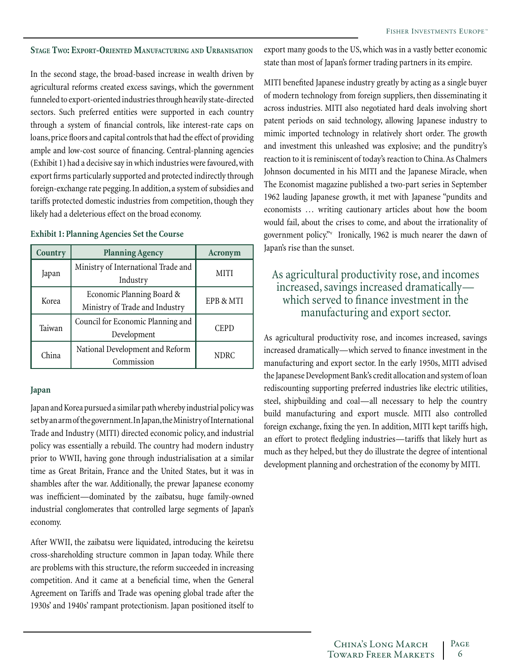#### <span id="page-5-0"></span>**Stage Two: Export-Oriented Manufacturing and Urbanisation**

In the second stage, the broad-based increase in wealth driven by agricultural reforms created excess savings, which the government funneled to export-oriented industries through heavily state-directed sectors. Such preferred entities were supported in each country through a system of financial controls, like interest-rate caps on loans, price floors and capital controls that had the effect of providing ample and low-cost source of financing. Central-planning agencies (Exhibit 1) had a decisive say in which industries were favoured, with export firms particularly supported and protected indirectly through foreign-exchange rate pegging. In addition, a system of subsidies and tariffs protected domestic industries from competition, though they likely had a deleterious effect on the broad economy.

#### **Exhibit 1: Planning Agencies Set the Course**

| Country | <b>Planning Agency</b>                                      | Acronym     |
|---------|-------------------------------------------------------------|-------------|
| Japan   | Ministry of International Trade and<br>Industry             | <b>MITI</b> |
| Korea   | Economic Planning Board &<br>Ministry of Trade and Industry | EPB & MTI   |
| Taiwan  | Council for Economic Planning and<br>Development            | <b>CEPD</b> |
| China   | National Development and Reform<br>Commission               | <b>NDRC</b> |

#### **Japan**

Japan and Korea pursued a similar path whereby industrial policy was set by an arm of the government. In Japan, the Ministry of International Trade and Industry (MITI) directed economic policy, and industrial policy was essentially a rebuild. The country had modern industry prior to WWII, having gone through industrialisation at a similar time as Great Britain, France and the United States, but it was in shambles after the war. Additionally, the prewar Japanese economy was inefficient—dominated by the zaibatsu, huge family-owned industrial conglomerates that controlled large segments of Japan's economy.

After WWII, the zaibatsu were liquidated, introducing the keiretsu cross-shareholding structure common in Japan today. While there are problems with this structure, the reform succeeded in increasing competition. And it came at a beneficial time, when the General Agreement on Tariffs and Trade was opening global trade after the 1930s' and 1940s' rampant protectionism. Japan positioned itself to

export many goods to the US, which was in a vastly better economic state than most of Japan's former trading partners in its empire.

MITI benefited Japanese industry greatly by acting as a single buyer of modern technology from foreign suppliers, then disseminating it across industries. MITI also negotiated hard deals involving short patent periods on said technology, allowing Japanese industry to mimic imported technology in relatively short order. The growth and investment this unleashed was explosive; and the punditry's reaction to it is reminiscent of today's reaction to China. As Chalmers Johnson documented in his MITI and the Japanese Miracle, when The Economist magazine published a two-part series in September 1962 lauding Japanese growth, it met with Japanese "pundits and economists … writing cautionary articles about how the boom would fail, about the crises to come, and about the irrationality of government policy."v Ironically, 1962 is much nearer the dawn of Japan's rise than the sunset.

## As agricultural productivity rose, and incomes increased, savings increased dramatically which served to finance investment in the manufacturing and export sector.

As agricultural productivity rose, and incomes increased, savings increased dramatically—which served to finance investment in the manufacturing and export sector. In the early 1950s, MITI advised the Japanese Development Bank's credit allocation and system of loan rediscounting supporting preferred industries like electric utilities, steel, shipbuilding and coal—all necessary to help the country build manufacturing and export muscle. MITI also controlled foreign exchange, fixing the yen. In addition, MITI kept tariffs high, an effort to protect fledgling industries—tariffs that likely hurt as much as they helped, but they do illustrate the degree of intentional development planning and orchestration of the economy by MITI.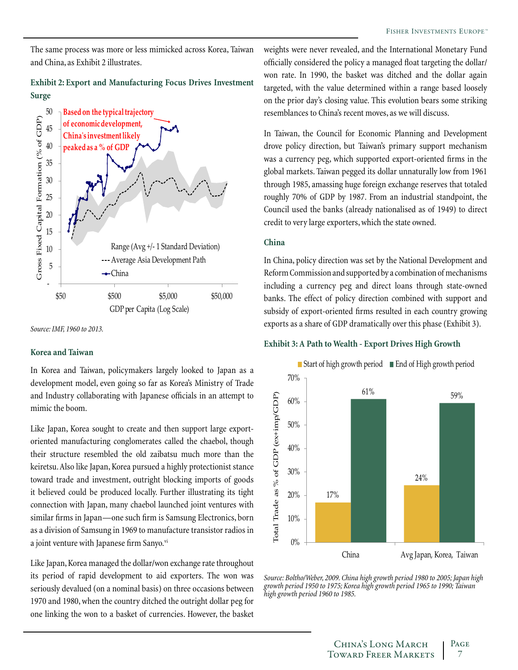The same process was more or less mimicked across Korea, Taiwan and China, as Exhibit 2 illustrates.

#### **Exhibit 2: Export and Manufacturing Focus Drives Investment Surge**



*Source: IMF, 1960 to 2013.*

#### **Korea and Taiwan**

In Korea and Taiwan, policymakers largely looked to Japan as a development model, even going so far as Korea's Ministry of Trade and Industry collaborating with Japanese officials in an attempt to mimic the boom.

Like Japan, Korea sought to create and then support large exportoriented manufacturing conglomerates called the chaebol, though their structure resembled the old zaibatsu much more than the keiretsu. Also like Japan, Korea pursued a highly protectionist stance toward trade and investment, outright blocking imports of goods it believed could be produced locally. Further illustrating its tight connection with Japan, many chaebol launched joint ventures with similar firms in Japan—one such firm is Samsung Electronics, born as a division of Samsung in 1969 to manufacture transistor radios in a joint venture with Japanese firm Sanyo.<sup>vi</sup>

Like Japan, Korea managed the dollar/won exchange rate throughout its period of rapid development to aid exporters. The won was seriously devalued (on a nominal basis) on three occasions between 1970 and 1980, when the country ditched the outright dollar peg for one linking the won to a basket of currencies. However, the basket

weights were never revealed, and the International Monetary Fund officially considered the policy a managed float targeting the dollar/ won rate. In 1990, the basket was ditched and the dollar again targeted, with the value determined within a range based loosely on the prior day's closing value. This evolution bears some striking resemblances to China's recent moves, as we will discuss.

In Taiwan, the Council for Economic Planning and Development drove policy direction, but Taiwan's primary support mechanism was a currency peg, which supported export-oriented firms in the global markets. Taiwan pegged its dollar unnaturally low from 1961 through 1985, amassing huge foreign exchange reserves that totaled roughly 70% of GDP by 1987. From an industrial standpoint, the Council used the banks (already nationalised as of 1949) to direct credit to very large exporters, which the state owned.

#### **China**

In China, policy direction was set by the National Development and Reform Commission and supported by a combination of mechanisms including a currency peg and direct loans through state-owned banks. The effect of policy direction combined with support and subsidy of export-oriented firms resulted in each country growing exports as a share of GDP dramatically over this phase (Exhibit 3).

#### **Exhibit 3: A Path to Wealth - Export Drives High Growth**



*Source: Boltho/Weber, 2009. China high growth period 1980 to 2005; Japan high growth period 1950 to 1975; Korea high growth period 1965 to 1990; Taiwan high growth period 1960 to 1985.*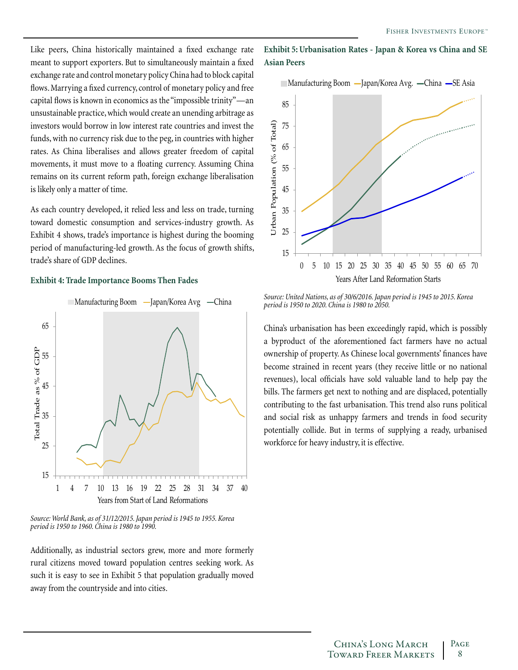Like peers, China historically maintained a fixed exchange rate meant to support exporters. But to simultaneously maintain a fixed exchange rate and control monetary policy China had to block capital flows. Marrying a fixed currency, control of monetary policy and free capital flows is known in economics as the "impossible trinity"—an unsustainable practice, which would create an unending arbitrage as investors would borrow in low interest rate countries and invest the funds, with no currency risk due to the peg, in countries with higher rates. As China liberalises and allows greater freedom of capital movements, it must move to a floating currency. Assuming China remains on its current reform path, foreign exchange liberalisation is likely only a matter of time.

As each country developed, it relied less and less on trade, turning toward domestic consumption and services-industry growth. As Exhibit 4 shows, trade's importance is highest during the booming period of manufacturing-led growth. As the focus of growth shifts, trade's share of GDP declines.

#### **Exhibit 4: Trade Importance Booms Then Fades**



*Source: World Bank, as of 31/12/2015. Japan period is 1945 to 1955. Korea period is 1950 to 1960. China is 1980 to 1990.*

Additionally, as industrial sectors grew, more and more formerly rural citizens moved toward population centres seeking work. As such it is easy to see in Exhibit 5 that population gradually moved away from the countryside and into cities.

#### **Exhibit 5: Urbanisation Rates - Japan & Korea vs China and SE Asian Peers**



*Source: United Nations, as of 30/6/2016. Japan period is 1945 to 2015. Korea period is 1950 to 2020. China is 1980 to 2050.* 

China's urbanisation has been exceedingly rapid, which is possibly a byproduct of the aforementioned fact farmers have no actual ownership of property. As Chinese local governments' finances have become strained in recent years (they receive little or no national revenues), local officials have sold valuable land to help pay the bills. The farmers get next to nothing and are displaced, potentially contributing to the fast urbanisation. This trend also runs political and social risk as unhappy farmers and trends in food security potentially collide. But in terms of supplying a ready, urbanised workforce for heavy industry, it is effective.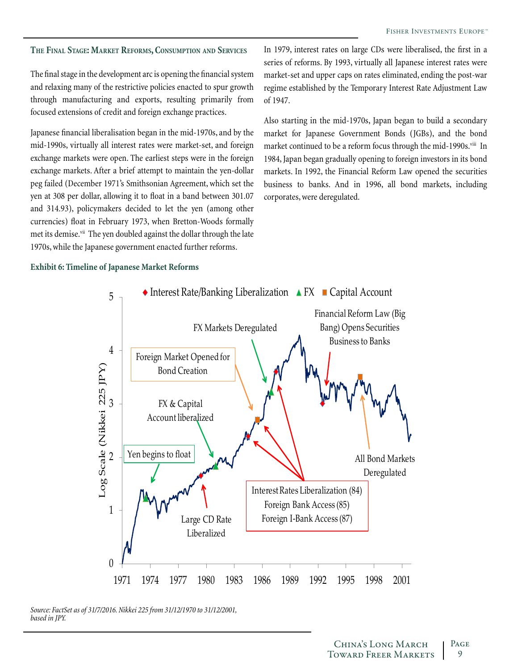#### <span id="page-8-0"></span>**The Final Stage: Market Reforms, Consumption and Services**

The final stage in the development arc is opening the financial system and relaxing many of the restrictive policies enacted to spur growth through manufacturing and exports, resulting primarily from focused extensions of credit and foreign exchange practices.

Japanese financial liberalisation began in the mid-1970s, and by the mid-1990s, virtually all interest rates were market-set, and foreign exchange markets were open. The earliest steps were in the foreign exchange markets. After a brief attempt to maintain the yen-dollar peg failed (December 1971's Smithsonian Agreement, which set the yen at 308 per dollar, allowing it to float in a band between 301.07 and 314.93), policymakers decided to let the yen (among other currencies) float in February 1973, when Bretton-Woods formally met its demise.<sup>vii</sup> The yen doubled against the dollar through the late 1970s, while the Japanese government enacted further reforms.

In 1979, interest rates on large CDs were liberalised, the first in a series of reforms. By 1993, virtually all Japanese interest rates were market-set and upper caps on rates eliminated, ending the post-war regime established by the Temporary Interest Rate Adjustment Law of 1947.

Also starting in the mid-1970s, Japan began to build a secondary market for Japanese Government Bonds (JGBs), and the bond market continued to be a reform focus through the mid-1990s.<sup>viii</sup> In 1984, Japan began gradually opening to foreign investors in its bond markets. In 1992, the Financial Reform Law opened the securities business to banks. And in 1996, all bond markets, including corporates, were deregulated.

#### **Exhibit 6: Timeline of Japanese Market Reforms**



*Source: FactSet as of 31/7/2016. Nikkei 225 from 31/12/1970 to 31/12/2001, based in JPY.*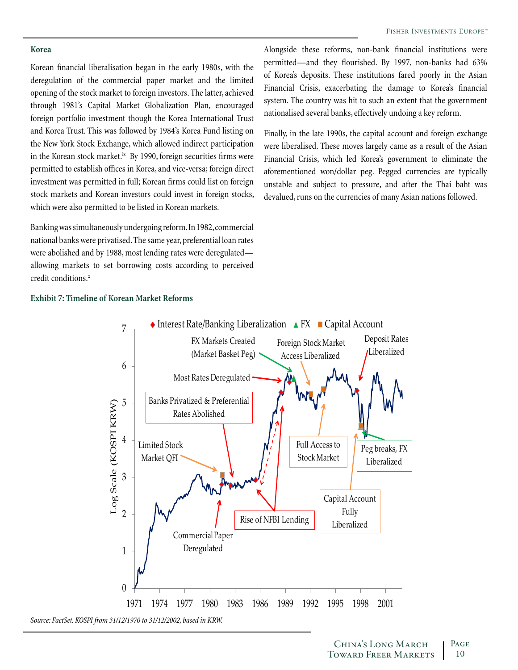#### **Korea**

Korean financial liberalisation began in the early 1980s, with the deregulation of the commercial paper market and the limited opening of the stock market to foreign investors. The latter, achieved through 1981's Capital Market Globalization Plan, encouraged foreign portfolio investment though the Korea International Trust and Korea Trust. This was followed by 1984's Korea Fund listing on the New York Stock Exchange, which allowed indirect participation in the Korean stock market. $i^x$  By 1990, foreign securities firms were permitted to establish offices in Korea, and vice-versa; foreign direct investment was permitted in full; Korean firms could list on foreign stock markets and Korean investors could invest in foreign stocks, which were also permitted to be listed in Korean markets.

Banking was simultaneously undergoing reform. In 1982, commercial national banks were privatised. The same year, preferential loan rates were abolished and by 1988, most lending rates were deregulated allowing markets to set borrowing costs according to perceived credit conditions.<sup>x</sup>

Alongside these reforms, non-bank financial institutions were permitted—and they flourished. By 1997, non-banks had 63% of Korea's deposits. These institutions fared poorly in the Asian Financial Crisis, exacerbating the damage to Korea's financial system. The country was hit to such an extent that the government nationalised several banks, effectively undoing a key reform.

Finally, in the late 1990s, the capital account and foreign exchange were liberalised. These moves largely came as a result of the Asian Financial Crisis, which led Korea's government to eliminate the aforementioned won/dollar peg. Pegged currencies are typically unstable and subject to pressure, and after the Thai baht was devalued, runs on the currencies of many Asian nations followed.

#### **Exhibit 7: Timeline of Korean Market Reforms**

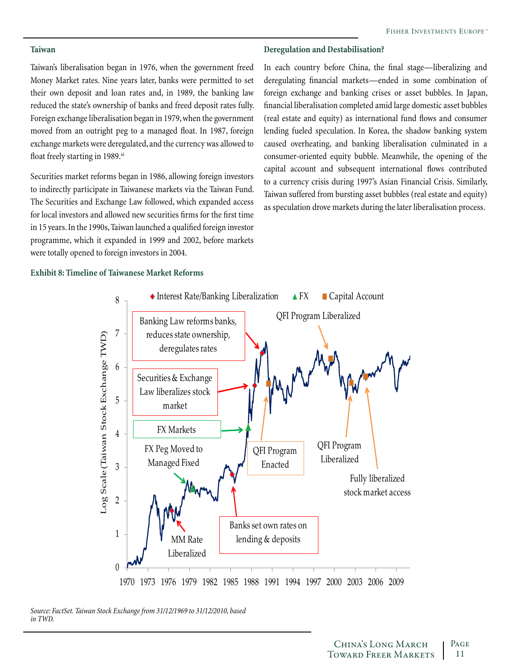### **Deregulation and Destabilisation?**

Taiwan's liberalisation began in 1976, when the government freed Money Market rates. Nine years later, banks were permitted to set their own deposit and loan rates and, in 1989, the banking law reduced the state's ownership of banks and freed deposit rates fully. Foreign exchange liberalisation began in 1979, when the government moved from an outright peg to a managed float. In 1987, foreign exchange markets were deregulated, and the currency was allowed to float freely starting in 1989.xi

Securities market reforms began in 1986, allowing foreign investors to indirectly participate in Taiwanese markets via the Taiwan Fund. The Securities and Exchange Law followed, which expanded access for local investors and allowed new securities firms for the first time in 15 years. In the 1990s, Taiwan launched a qualified foreign investor programme, which it expanded in 1999 and 2002, before markets were totally opened to foreign investors in 2004.

In each country before China, the final stage—liberalizing and deregulating financial markets—ended in some combination of foreign exchange and banking crises or asset bubbles. In Japan, financial liberalisation completed amid large domestic asset bubbles (real estate and equity) as international fund flows and consumer lending fueled speculation. In Korea, the shadow banking system caused overheating, and banking liberalisation culminated in a consumer-oriented equity bubble. Meanwhile, the opening of the capital account and subsequent international flows contributed to a currency crisis during 1997's Asian Financial Crisis. Similarly, Taiwan suffered from bursting asset bubbles (real estate and equity) as speculation drove markets during the later liberalisation process.

#### **Exhibit 8: Timeline of Taiwanese Market Reforms**



*Source: FactSet. Taiwan Stock Exchange from 31/12/1969 to 31/12/2010, based in TWD.*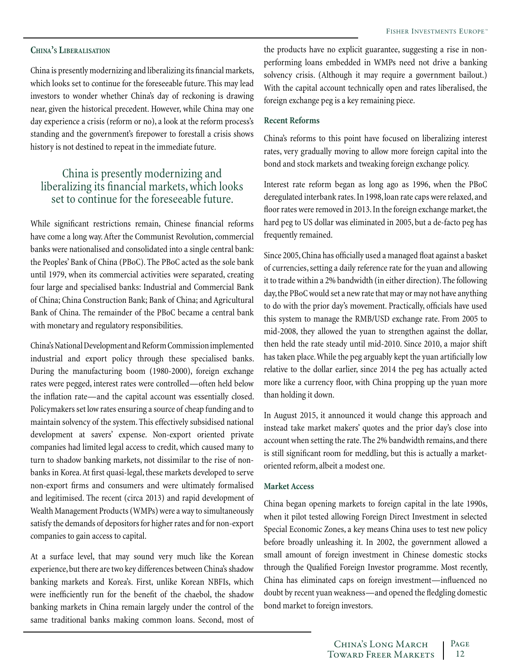#### **China's Liberalisation**

China is presently modernizing and liberalizing its financial markets, which looks set to continue for the foreseeable future. This may lead investors to wonder whether China's day of reckoning is drawing near, given the historical precedent. However, while China may one day experience a crisis (reform or no), a look at the reform process's standing and the government's firepower to forestall a crisis shows history is not destined to repeat in the immediate future.

## China is presently modernizing and liberalizing its financial markets, which looks set to continue for the foreseeable future.

While significant restrictions remain, Chinese financial reforms have come a long way. After the Communist Revolution, commercial banks were nationalised and consolidated into a single central bank: the Peoples' Bank of China (PBoC). The PBoC acted as the sole bank until 1979, when its commercial activities were separated, creating four large and specialised banks: Industrial and Commercial Bank of China; China Construction Bank; Bank of China; and Agricultural Bank of China. The remainder of the PBoC became a central bank with monetary and regulatory responsibilities.

China's National Development and Reform Commission implemented industrial and export policy through these specialised banks. During the manufacturing boom (1980-2000), foreign exchange rates were pegged, interest rates were controlled—often held below the inflation rate—and the capital account was essentially closed. Policymakers set low rates ensuring a source of cheap funding and to maintain solvency of the system. This effectively subsidised national development at savers' expense. Non-export oriented private companies had limited legal access to credit, which caused many to turn to shadow banking markets, not dissimilar to the rise of nonbanks in Korea. At first quasi-legal, these markets developed to serve non-export firms and consumers and were ultimately formalised and legitimised. The recent (circa 2013) and rapid development of Wealth Management Products (WMPs) were a way to simultaneously satisfy the demands of depositors for higher rates and for non-export companies to gain access to capital.

At a surface level, that may sound very much like the Korean experience, but there are two key differences between China's shadow banking markets and Korea's. First, unlike Korean NBFIs, which were inefficiently run for the benefit of the chaebol, the shadow banking markets in China remain largely under the control of the same traditional banks making common loans. Second, most of the products have no explicit guarantee, suggesting a rise in nonperforming loans embedded in WMPs need not drive a banking solvency crisis. (Although it may require a government bailout.) With the capital account technically open and rates liberalised, the foreign exchange peg is a key remaining piece.

#### **Recent Reforms**

China's reforms to this point have focused on liberalizing interest rates, very gradually moving to allow more foreign capital into the bond and stock markets and tweaking foreign exchange policy.

Interest rate reform began as long ago as 1996, when the PBoC deregulated interbank rates. In 1998, loan rate caps were relaxed, and floor rates were removed in 2013. In the foreign exchange market, the hard peg to US dollar was eliminated in 2005, but a de-facto peg has frequently remained.

Since 2005, China has officially used a managed float against a basket of currencies, setting a daily reference rate for the yuan and allowing it to trade within a 2% bandwidth (in either direction). The following day, the PBoC would set a new rate that may or may not have anything to do with the prior day's movement. Practically, officials have used this system to manage the RMB/USD exchange rate. From 2005 to mid-2008, they allowed the yuan to strengthen against the dollar, then held the rate steady until mid-2010. Since 2010, a major shift has taken place. While the peg arguably kept the yuan artificially low relative to the dollar earlier, since 2014 the peg has actually acted more like a currency floor, with China propping up the yuan more than holding it down.

In August 2015, it announced it would change this approach and instead take market makers' quotes and the prior day's close into account when setting the rate. The 2% bandwidth remains, and there is still significant room for meddling, but this is actually a marketoriented reform, albeit a modest one.

#### **Market Access**

China began opening markets to foreign capital in the late 1990s, when it pilot tested allowing Foreign Direct Investment in selected Special Economic Zones, a key means China uses to test new policy before broadly unleashing it. In 2002, the government allowed a small amount of foreign investment in Chinese domestic stocks through the Qualified Foreign Investor programme. Most recently, China has eliminated caps on foreign investment—influenced no doubt by recent yuan weakness—and opened the fledgling domestic bond market to foreign investors.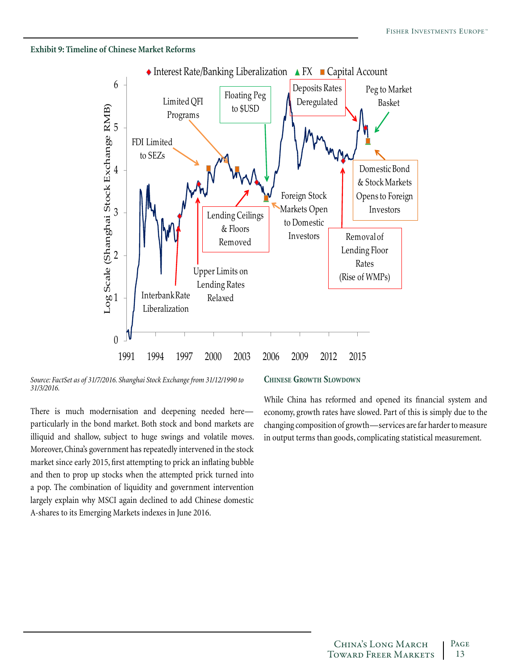#### **Exhibit 9: Timeline of Chinese Market Reforms**



*Source: FactSet as of 31/7/2016. Shanghai Stock Exchange from 31/12/1990 to 31/3/2016.*

There is much modernisation and deepening needed here particularly in the bond market. Both stock and bond markets are illiquid and shallow, subject to huge swings and volatile moves. Moreover, China's government has repeatedly intervened in the stock market since early 2015, first attempting to prick an inflating bubble and then to prop up stocks when the attempted prick turned into a pop. The combination of liquidity and government intervention largely explain why MSCI again declined to add Chinese domestic A-shares to its Emerging Markets indexes in June 2016.

#### **Chinese Growth Slowdown**

While China has reformed and opened its financial system and economy, growth rates have slowed. Part of this is simply due to the changing composition of growth—services are far harder to measure in output terms than goods, complicating statistical measurement.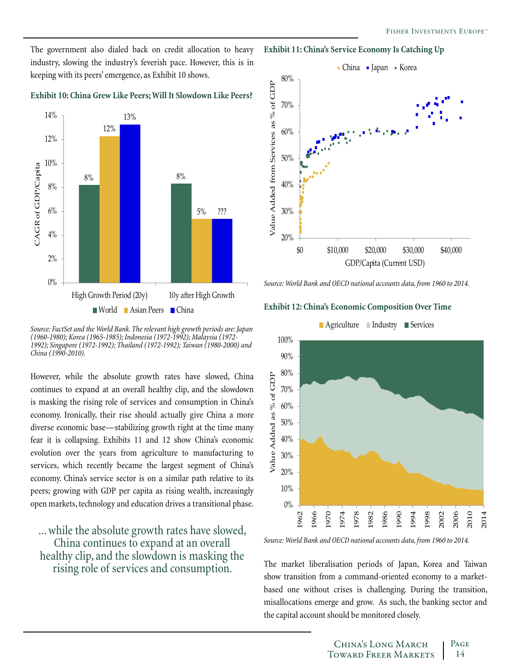The government also dialed back on credit allocation to heavy industry, slowing the industry's feverish pace. However, this is in keeping with its peers' emergence, as Exhibit 10 shows.

**Exhibit 10: China Grew Like Peers; Will It Slowdown Like Peers?**



*Source: FactSet and the World Bank. The relevant high growth periods are: Japan (1960-1980); Korea (1965-1985); Indonesia (1972-1992); Malaysia (1972- 1992); Singapore (1972-1992); Thailand (1972-1992); Taiwan (1980-2000) and China (1990-2010).*

However, while the absolute growth rates have slowed, China continues to expand at an overall healthy clip, and the slowdown is masking the rising role of services and consumption in China's economy. Ironically, their rise should actually give China a more diverse economic base—stabilizing growth right at the time many fear it is collapsing. Exhibits 11 and 12 show China's economic evolution over the years from agriculture to manufacturing to services, which recently became the largest segment of China's economy. China's service sector is on a similar path relative to its peers; growing with GDP per capita as rising wealth, increasingly open markets, technology and education drives a transitional phase.

... while the absolute growth rates have slowed, China continues to expand at an overall healthy clip, and the slowdown is masking the rising role of services and consumption.





*Source: World Bank and OECD national accounts data, from 1960 to 2014.*

#### **Exhibit 12: China's Economic Composition Over Time**



*Source: World Bank and OECD national accounts data, from 1960 to 2014.*

The market liberalisation periods of Japan, Korea and Taiwan show transition from a command-oriented economy to a marketbased one without crises is challenging. During the transition, misallocations emerge and grow. As such, the banking sector and the capital account should be monitored closely.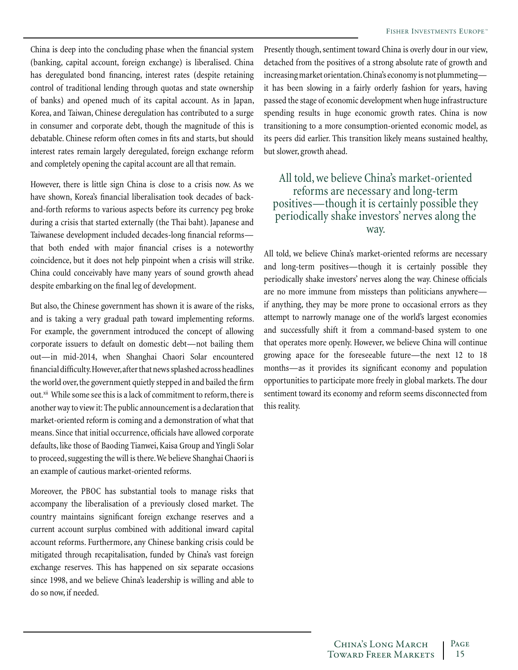China is deep into the concluding phase when the financial system (banking, capital account, foreign exchange) is liberalised. China has deregulated bond financing, interest rates (despite retaining control of traditional lending through quotas and state ownership of banks) and opened much of its capital account. As in Japan, Korea, and Taiwan, Chinese deregulation has contributed to a surge in consumer and corporate debt, though the magnitude of this is debatable. Chinese reform often comes in fits and starts, but should interest rates remain largely deregulated, foreign exchange reform and completely opening the capital account are all that remain.

However, there is little sign China is close to a crisis now. As we have shown, Korea's financial liberalisation took decades of backand-forth reforms to various aspects before its currency peg broke during a crisis that started externally (the Thai baht). Japanese and Taiwanese development included decades-long financial reforms that both ended with major financial crises is a noteworthy coincidence, but it does not help pinpoint when a crisis will strike. China could conceivably have many years of sound growth ahead despite embarking on the final leg of development.

But also, the Chinese government has shown it is aware of the risks, and is taking a very gradual path toward implementing reforms. For example, the government introduced the concept of allowing corporate issuers to default on domestic debt—not bailing them out—in mid-2014, when Shanghai Chaori Solar encountered financial difficulty. However, after that news splashed across headlines the world over, the government quietly stepped in and bailed the firm out.<sup>xii</sup> While some see this is a lack of commitment to reform, there is another way to view it: The public announcement is a declaration that market-oriented reform is coming and a demonstration of what that means. Since that initial occurrence, officials have allowed corporate defaults, like those of Baoding Tianwei, Kaisa Group and Yingli Solar to proceed, suggesting the will is there. We believe Shanghai Chaori is an example of cautious market-oriented reforms.

Moreover, the PBOC has substantial tools to manage risks that accompany the liberalisation of a previously closed market. The country maintains significant foreign exchange reserves and a current account surplus combined with additional inward capital account reforms. Furthermore, any Chinese banking crisis could be mitigated through recapitalisation, funded by China's vast foreign exchange reserves. This has happened on six separate occasions since 1998, and we believe China's leadership is willing and able to do so now, if needed.

Presently though, sentiment toward China is overly dour in our view, detached from the positives of a strong absolute rate of growth and increasing market orientation. China's economy is not plummeting it has been slowing in a fairly orderly fashion for years, having passed the stage of economic development when huge infrastructure spending results in huge economic growth rates. China is now transitioning to a more consumption-oriented economic model, as its peers did earlier. This transition likely means sustained healthy, but slower, growth ahead.

## All told, we believe China's market-oriented reforms are necessary and long-term positives—though it is certainly possible they periodically shake investors' nerves along the way.

All told, we believe China's market-oriented reforms are necessary and long-term positives—though it is certainly possible they periodically shake investors' nerves along the way. Chinese officials are no more immune from missteps than politicians anywhere if anything, they may be more prone to occasional errors as they attempt to narrowly manage one of the world's largest economies and successfully shift it from a command-based system to one that operates more openly. However, we believe China will continue growing apace for the foreseeable future—the next 12 to 18 months—as it provides its significant economy and population opportunities to participate more freely in global markets. The dour sentiment toward its economy and reform seems disconnected from this reality.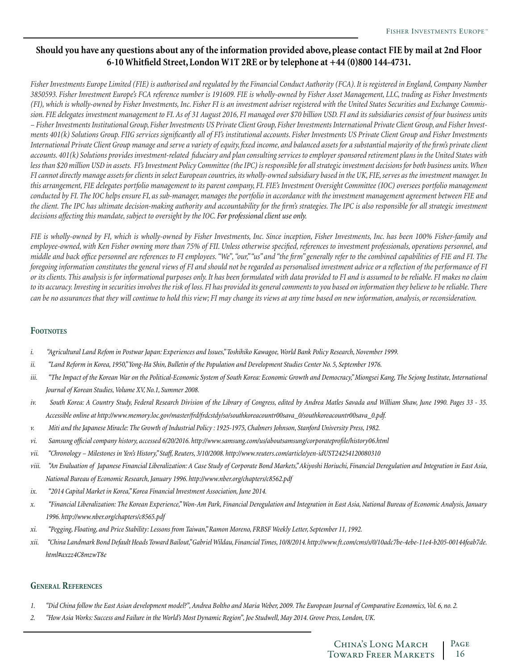## **Should you have any questions about any of the information provided above, please contact FIE by mail at 2nd Floor 6-10 Whitfield Street, London W1T 2RE or by telephone at +44 (0)800 144-4731.**

*Fisher Investments Europe Limited (FIE) is authorised and regulated by the Financial Conduct Authority (FCA). It is registered in England, Company Number 3850593. Fisher Investment Europe's FCA reference number is 191609. FIE is wholly-owned by Fisher Asset Management, LLC, trading as Fisher Investments (FI), which is wholly-owned by Fisher Investments, Inc. Fisher FI is an investment adviser registered with the United States Securities and Exchange Commission. FIE delegates investment management to FI. As of 31 August 2016, FI managed over \$70 billion USD. FI and its subsidiaries consist of four business units – Fisher Investments Institutional Group, Fisher Investments US Private Client Group, Fisher Investments International Private Client Group, and Fisher Investments 401(k) Solutions Group. FIIG services significantly all of FI's institutional accounts. Fisher Investments US Private Client Group and Fisher Investments International Private Client Group manage and serve a variety of equity, fixed income, and balanced assets for a substantial majority of the firm's private client accounts. 401(k) Solutions provides investment-related fiduciary and plan consulting services to employer sponsored retirement plans in the United States with less than \$20 million USD in assets. FI's Investment Policy Committee (the IPC) is responsible for all strategic investment decisions for both business units. When FI cannot directly manage assets for clients in select European countries, its wholly-owned subsidiary based in the UK, FIE, serves as the investment manager. In this arrangement, FIE delegates portfolio management to its parent company, FI. FIE's Investment Oversight Committee (IOC) oversees portfolio management conducted by FI. The IOC helps ensure FI, as sub-manager, manages the portfolio in accordance with the investment management agreement between FIE and the client. The IPC has ultimate decision-making authority and accountability for the firm's strategies. The IPC is also responsible for all strategic investment decisions affecting this mandate, subject to oversight by the IOC. For professional client use only.* 

*FIE is wholly-owned by FI, which is wholly-owned by Fisher Investments, Inc. Since inception, Fisher Investments, Inc. has been 100% Fisher-family and employee-owned, with Ken Fisher owning more than 75% of FII. Unless otherwise specified, references to investment professionals, operations personnel, and middle and back office personnel are references to FI employees. "We", "our," "us" and "the firm" generally refer to the combined capabilities of FIE and FI. The foregoing information constitutes the general views of FI and should not be regarded as personalised investment advice or a reflection of the performance of FI or its clients. This analysis is for informational purposes only. It has been formulated with data provided to FI and is assumed to be reliable. FI makes no claim to its accuracy. Investing in securities involves the risk of loss. FI has provided its general comments to you based on information they believe to be reliable. There can be no assurances that they will continue to hold this view; FI may change its views at any time based on new information, analysis, or reconsideration.*

#### **Footnotes**

- *i. "Agricultural Land Refom in Postwar Japan: Experiences and Issues," Toshihiko Kawagoe, World Bank Policy Research, November 1999.*
- *ii. "Land Reform in Korea, 1950," Yong-Ha Shin, Bulletin of the Population and Development Studies Center No. 5, September 1976.*
- *iii.* "The Impact of the Korean War on the Political-Economic System of South Korea: Economic Growth and Democracy," Miongsei Kang, The Sejong Institute, International *Journal of Korean Studies, Volume XV, No.1, Summer 2008.*
- *iv. South Korea: A Country Study, Federal Research Division of the Library of Congress, edited by Andrea Matles Savada and William Shaw, June 1990. Pages 33 35. Accessible online at http://www.memory.loc.gov/master/frd/frdcstdy/so/southkoreacountr00sava\_0/southkoreacountr00sava\_0.pdf.*
- *v. Miti and the Japanese Miracle: The Growth of Industrial Policy : 1925-1975, Chalmers Johnson, Stanford University Press, 1982.*
- *vi. Samsung official company history, accessed 6/20/2016. http://www.samsung.com/us/aboutsamsung/corporateprofile/history06.html*
- *vii. "Chronology Milestones in Yen's History," Staff, Reuters, 3/10/2008. http://www.reuters.com/article/yen-idUST24254120080310*
- *viii. "An Evaluation of Japanese Financial Liberalization: A Case Study of Corporate Bond Markets," Akiyoshi Horiuchi, Financial Deregulation and Integration in East Asia, National Bureau of Economic Research, January 1996. http://www.nber.org/chapters/c8562.pdf*
- *ix. "2014 Capital Market in Korea," Korea Financial Investment Association, June 2014.*
- *x. "Financial Liberalization: The Korean Experience," Won-Am Park, Financial Deregulation and Integration in East Asia, National Bureau of Economic Analysis, January 1996. http://www.nber.org/chapters/c8565.pdf*
- *xi. "Pegging, Floating, and Price Stability: Lessons from Taiwan," Ramon Moreno, FRBSF Weekly Letter, September 11, 1992.*
- *xii. "China Landmark Bond Default Heads Toward Bailout," Gabriel Wildau, Financial Times, 10/8/2014. http://www.ft.com/cms/s/0/10adc7be-4ebe-11e4-b205-00144feab7de. html#axzz4C8mzwT8e*

#### **General References**

- *1. "Did China follow the East Asian development model?", Andrea Boltho and Maria Weber, 2009. The European Journal of Comparative Economics, Vol. 6, no. 2.*
- *2. "How Asia Works: Success and Failure in the World's Most Dynamic Region", Joe Studwell, May 2014. Grove Press, London, UK.*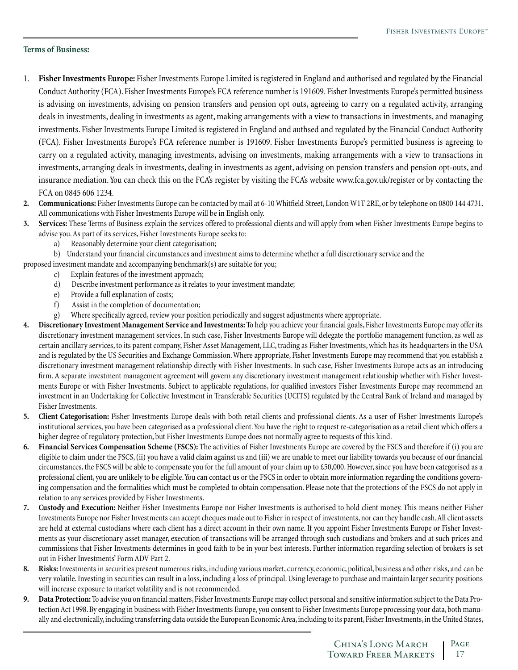#### **Terms of Business:**

- 1. **Fisher Investments Europe:** Fisher Investments Europe Limited is registered in England and authorised and regulated by the Financial Conduct Authority (FCA). Fisher Investments Europe's FCA reference number is 191609. Fisher Investments Europe's permitted business is advising on investments, advising on pension transfers and pension opt outs, agreeing to carry on a regulated activity, arranging deals in investments, dealing in investments as agent, making arrangements with a view to transactions in investments, and managing investments. Fisher Investments Europe Limited is registered in England and authsed and regulated by the Financial Conduct Authority (FCA). Fisher Investments Europe's FCA reference number is 191609. Fisher Investments Europe's permitted business is agreeing to carry on a regulated activity, managing investments, advising on investments, making arrangements with a view to transactions in investments, arranging deals in investments, dealing in investments as agent, advising on pension transfers and pension opt-outs, and insurance mediation. You can check this on the FCA's register by visiting the FCA's website www.fca.gov.uk/register or by contacting the FCA on 0845 606 1234.
- **2. Communications:** Fisher Investments Europe can be contacted by mail at 6-10 Whitfield Street, London W1T 2RE, or by telephone on 0800 144 4731. All communications with Fisher Investments Europe will be in English only.
- **3. Services:** These Terms of Business explain the services offered to professional clients and will apply from when Fisher Investments Europe begins to advise you. As part of its services, Fisher Investments Europe seeks to:
	- a) Reasonably determine your client categorisation;
	- b) Understand your financial circumstances and investment aims to determine whether a full discretionary service and the

proposed investment mandate and accompanying benchmark(s) are suitable for you;

- c) Explain features of the investment approach;
	- d) Describe investment performance as it relates to your investment mandate;
	- e) Provide a full explanation of costs;
	- f) Assist in the completion of documentation;
	- g) Where specifically agreed, review your position periodically and suggest adjustments where appropriate.
- **4. Discretionary Investment Management Service and Investments:** To help you achieve your financial goals, Fisher Investments Europe may offer its discretionary investment management services. In such case, Fisher Investments Europe will delegate the portfolio management function, as well as certain ancillary services, to its parent company, Fisher Asset Management, LLC, trading as Fisher Investments, which has its headquarters in the USA and is regulated by the US Securities and Exchange Commission. Where appropriate, Fisher Investments Europe may recommend that you establish a discretionary investment management relationship directly with Fisher Investments. In such case, Fisher Investments Europe acts as an introducing firm. A separate investment management agreement will govern any discretionary investment management relationship whether with Fisher Investments Europe or with Fisher Investments. Subject to applicable regulations, for qualified investors Fisher Investments Europe may recommend an investment in an Undertaking for Collective Investment in Transferable Securities (UCITS) regulated by the Central Bank of Ireland and managed by Fisher Investments.
- **5. Client Categorisation:** Fisher Investments Europe deals with both retail clients and professional clients. As a user of Fisher Investments Europe's institutional services, you have been categorised as a professional client. You have the right to request re-categorisation as a retail client which offers a higher degree of regulatory protection, but Fisher Investments Europe does not normally agree to requests of this kind.
- **6. Financial Services Compensation Scheme (FSCS):** The activities of Fisher Investments Europe are covered by the FSCS and therefore if (i) you are eligible to claim under the FSCS, (ii) you have a valid claim against us and (iii) we are unable to meet our liability towards you because of our financial circumstances, the FSCS will be able to compensate you for the full amount of your claim up to £50,000. However, since you have been categorised as a professional client, you are unlikely to be eligible. You can contact us or the FSCS in order to obtain more information regarding the conditions governing compensation and the formalities which must be completed to obtain compensation. Please note that the protections of the FSCS do not apply in relation to any services provided by Fisher Investments.
- **7. Custody and Execution:** Neither Fisher Investments Europe nor Fisher Investments is authorised to hold client money. This means neither Fisher Investments Europe nor Fisher Investments can accept cheques made out to Fisher in respect of investments, nor can they handle cash. All client assets are held at external custodians where each client has a direct account in their own name. If you appoint Fisher Investments Europe or Fisher Investments as your discretionary asset manager, execution of transactions will be arranged through such custodians and brokers and at such prices and commissions that Fisher Investments determines in good faith to be in your best interests. Further information regarding selection of brokers is set out in Fisher Investments' Form ADV Part 2.
- **8. Risks:** Investments in securities present numerous risks, including various market, currency, economic, political, business and other risks, and can be very volatile. Investing in securities can result in a loss, including a loss of principal. Using leverage to purchase and maintain larger security positions will increase exposure to market volatility and is not recommended.
- **9. Data Protection:** To advise you on financial matters, Fisher Investments Europe may collect personal and sensitive information subject to the Data Protection Act 1998. By engaging in business with Fisher Investments Europe, you consent to Fisher Investments Europe processing your data, both manually and electronically, including transferring data outside the European Economic Area, including to its parent, Fisher Investments, in the United States,